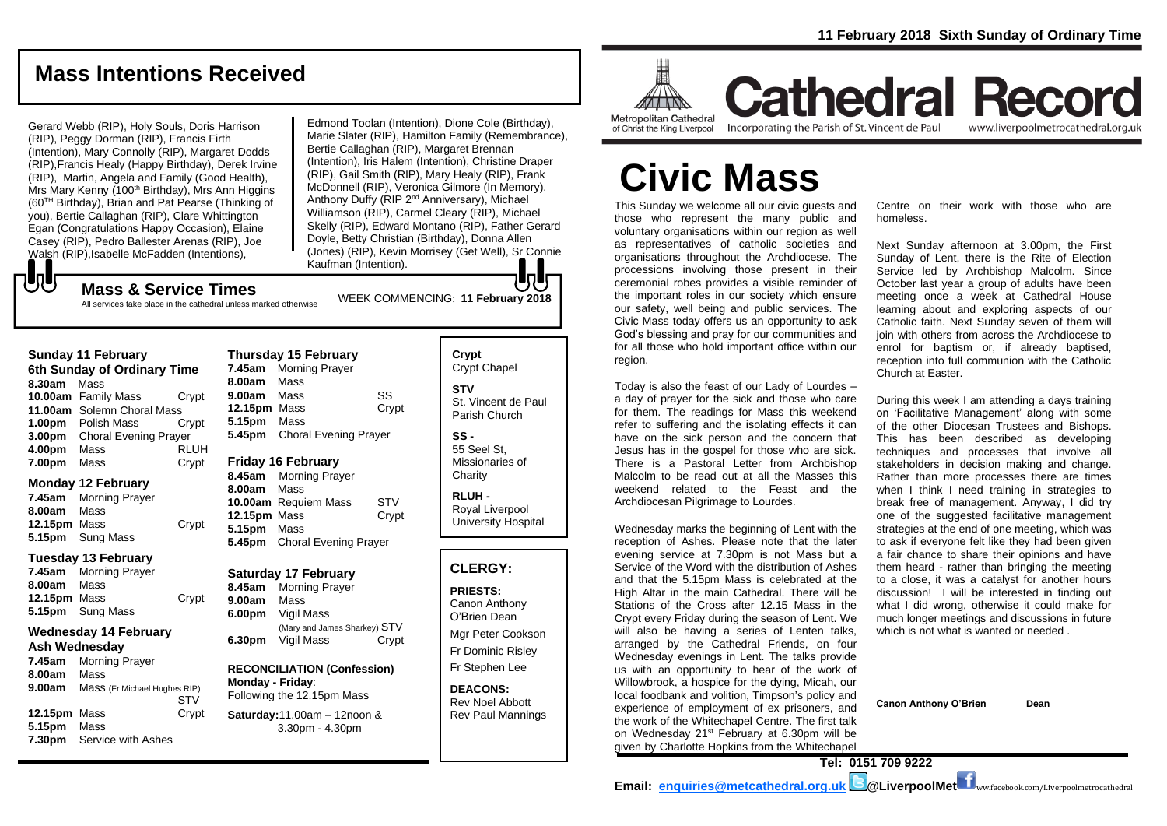## **Mass Intentions Received**

Gerard Webb (RIP), Holy Souls, Doris Harrison (RIP), Peggy Dorman (RIP), Francis Firth (Intention), Mary Connolly (RIP), Margaret Dodds (RIP),Francis Healy (Happy Birthday), Derek Irvine (RIP), Martin, Angela and Family (Good Health), Mrs Mary Kenny (100<sup>th</sup> Birthday), Mrs Ann Higgins (60TH Birthday), Brian and Pat Pearse (Thinking of you), Bertie Callaghan (RIP), Clare Whittington Egan (Congratulations Happy Occasion), Elaine Casey (RIP), Pedro Ballester Arenas (RIP), Joe Walsh (RIP),Isabelle McFadden (Intentions),

WEEK COMMENCING: **<sup>11</sup> February <sup>2018</sup> Mass & Service Times** Edmond Toolan (Intention), Dione Cole (Birthday), Marie Slater (RIP), Hamilton Family (Remembrance), Bertie Callaghan (RIP), Margaret Brennan (Intention), Iris Halem (Intention), Christine Draper (RIP), Gail Smith (RIP), Mary Healy (RIP), Frank McDonnell (RIP), Veronica Gilmore (In Memory), Anthony Duffy (RIP 2<sup>nd</sup> Anniversary), Michael Williamson (RIP), Carmel Cleary (RIP), Michael Skelly (RIP), Edward Montano (RIP), Father Gerard Doyle, Betty Christian (Birthday), Donna Allen (Jones) (RIP), Kevin Morrisey (Get Well), Sr Connie Kaufman (Intention).

## もし

All services take place in the cathedral unless marked otherwise

#### **Sunday 11 February 6th Sunday of Ordinary Time 8.30am** Mass **10.00am** Family Mass Crypt **11.00am** Solemn Choral Mass **1.00pm** Polish Mass Crypt **3.00pm** Choral Evening Prayer **4.00pm** Mass RLUH **7.00pm** Mass **Crypt**

#### **Monday 12 February**

**7.45am** Morning Prayer **8.00am** Mass **12.15pm** Mass Crypt **5.15pm** Sung Mass

#### **Tuesday 13 February**

**7.45am** Morning Prayer **8.00am** Mass **12.15pm** Mass Crypt **5.15pm** Sung Mass

#### **Wednesday 14 February Ash Wednesday**

| Ash weanesday |                              |  |
|---------------|------------------------------|--|
| 7.45am        | <b>Morning Prayer</b>        |  |
| 8.00am        | Mass                         |  |
| 9.00am        | Mass (Fr Michael Hughes RIP) |  |
|               | CT1/                         |  |

|              |                           | <u>.</u> |
|--------------|---------------------------|----------|
| 12.15pm Mass |                           | Crypt    |
| 5.15pm Mass  |                           |          |
|              | 7.30pm Service with Ashes |          |

|             | <b>Thursday 15 February</b>  |       |
|-------------|------------------------------|-------|
| 7.45am      | <b>Morning Prayer</b>        |       |
| 8.00am Mass |                              |       |
| 9.00am      | Mass                         | SS    |
| 12.15pm     | Mass                         | Crypt |
| 5.15pm      | Mass                         |       |
| 5.45pm      | <b>Choral Evening Prayer</b> |       |
|             |                              |       |

### **Friday 16 February**

**8.45am** Morning Prayer **8.00am** Mass **10.00am** Requiem Mass STV **12.15pm** Mass Crypt **5.15pm** Mass **5.45pm** Choral Evening Prayer

#### **Saturday 17 February**

**8.45am** Morning Prayer **9.00am** Mass **6.00pm** Vigil Mass (Mary and James Sharkey) STV **6.30pm** Vigil Mass Crypt

#### **RECONCILIATION (Confession) Monday - Friday**: Following the 12.15pm Mass

**Saturday:**11.00am – 12noon & 3.30pm - 4.30pm

| Crypt<br><b>Crypt Chapel</b>                |
|---------------------------------------------|
| STV<br>St. Vincent de Paul<br>Parish Church |
| SS -                                        |

55 Seel St, Missionaries of **Charity** 

**RLUH -** Royal Liverpool University Hospital

### **CLERGY:**

**PRIESTS:** Canon Anthony O'Brien *Dean*

Mgr Peter Cookson Fr Dominic Risley Fr Stephen Lee

**DEACONS:** Rev Noel Abbott Rev Paul Mannings



**Cathedral Record** of Christ the King Liverpool

Incorporating the Parish of St. Vincent de Paul

www.liverpoolmetrocathedral.org.uk

# **Civic Mass**

This Sunday we welcome all our civic guests and those who represent the many public and voluntary organisations within our region as well as representatives of catholic societies and organisations throughout the Archdiocese. The processions involving those present in their ceremonial robes provides a visible reminder of the important roles in our society which ensure our safety, well being and public services. The Civic Mass today offers us an opportunity to ask God's blessing and pray for our communities and for all those who hold important office within our region.

Today is also the feast of our Lady of Lourdes – a day of prayer for the sick and those who care for them. The readings for Mass this weekend refer to suffering and the isolating effects it can have on the sick person and the concern that Jesus has in the gospel for those who are sick. There is a Pastoral Letter from Archbishop Malcolm to be read out at all the Masses this weekend related to the Feast and the Archdiocesan Pilgrimage to Lourdes.

Wednesday marks the beginning of Lent with the reception of Ashes. Please note that the later evening service at 7.30pm is not Mass but a Service of the Word with the distribution of Ashes and that the 5.15pm Mass is celebrated at the High Altar in the main Cathedral. There will be Stations of the Cross after 12.15 Mass in the Crypt every Friday during the season of Lent. We will also be having a series of Lenten talks, arranged by the Cathedral Friends, on four Wednesday evenings in Lent. The talks provide us with an opportunity to hear of the work of Willowbrook, a hospice for the dying, Micah, our local foodbank and volition, Timpson's policy and experience of employment of ex prisoners, and the work of the Whitechapel Centre. The first talk on Wednesday 21<sup>st</sup> February at 6.30pm will be given by Charlotte Hopkins from the Whitechapel

Centre on their work with those who are homeless.

Next Sunday afternoon at 3.00pm, the First Sunday of Lent, there is the Rite of Election Service led by Archbishop Malcolm. Since October last year a group of adults have been meeting once a week at Cathedral House learning about and exploring aspects of our Catholic faith. Next Sunday seven of them will join with others from across the Archdiocese to enrol for baptism or, if already baptised, reception into full communion with the Catholic Church at Easter.

During this week I am attending a days training on 'Facilitative Management' along with some of the other Diocesan Trustees and Bishops. This has been described as developing techniques and processes that involve all stakeholders in decision making and change. Rather than more processes there are times when I think I need training in strategies to break free of management. Anyway, I did try one of the suggested facilitative management strategies at the end of one meeting, which was to ask if everyone felt like they had been given a fair chance to share their opinions and have them heard - rather than bringing the meeting to a close, it was a catalyst for another hours discussion! I will be interested in finding out what I did wrong, otherwise it could make for much longer meetings and discussions in future which is not what is wanted or needed

**Canon Anthony O'Brien Dean**

**Tel: 0151 709 9222 Email: [enquiries@metcathedral.org.uk](mailto:enquiries@metcathedral.org.uk) | B** @LiverpoolMet **f** ww.facebook.com/Liverpoolmetrocathedral